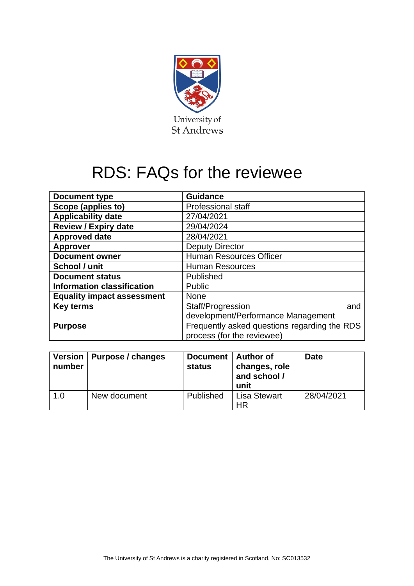

# RDS: FAQs for the reviewee

| <b>Document type</b>              | <b>Guidance</b>                                                            |     |  |
|-----------------------------------|----------------------------------------------------------------------------|-----|--|
| Scope (applies to)                | Professional staff                                                         |     |  |
| <b>Applicability date</b>         | 27/04/2021                                                                 |     |  |
| <b>Review / Expiry date</b>       | 29/04/2024                                                                 |     |  |
| <b>Approved date</b>              | 28/04/2021                                                                 |     |  |
| <b>Approver</b>                   | <b>Deputy Director</b>                                                     |     |  |
| <b>Document owner</b>             | <b>Human Resources Officer</b>                                             |     |  |
| School / unit                     | <b>Human Resources</b>                                                     |     |  |
| <b>Document status</b>            | Published                                                                  |     |  |
| <b>Information classification</b> | Public                                                                     |     |  |
| <b>Equality impact assessment</b> | None                                                                       |     |  |
| <b>Key terms</b>                  | Staff/Progression                                                          | and |  |
|                                   | development/Performance Management                                         |     |  |
| <b>Purpose</b>                    | Frequently asked questions regarding the RDS<br>process (for the reviewee) |     |  |

| number | Version   Purpose / changes | Document   Author of<br><b>status</b> | changes, role<br>and school /<br>unit | Date       |
|--------|-----------------------------|---------------------------------------|---------------------------------------|------------|
| 1.0    | New document                | Published                             | Lisa Stewart<br><b>HR</b>             | 28/04/2021 |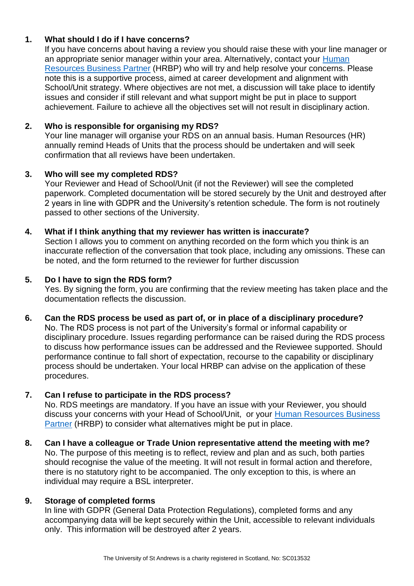### **1. What should I do if I have concerns?**

If you have concerns about having a review you should raise these with your line manager or an appropriate senior manager within your area. Alternatively, contact your Human [Resources Business Partner](https://www.st-andrews.ac.uk/hr/businesspartner/) (HRBP) who will try and help resolve your concerns. Please note this is a supportive process, aimed at career development and alignment with School/Unit strategy. Where objectives are not met, a discussion will take place to identify issues and consider if still relevant and what support might be put in place to support achievement. Failure to achieve all the objectives set will not result in disciplinary action.

### **2. Who is responsible for organising my RDS?**

Your line manager will organise your RDS on an annual basis. Human Resources (HR) annually remind Heads of Units that the process should be undertaken and will seek confirmation that all reviews have been undertaken.

## **3. Who will see my completed RDS?**

Your Reviewer and Head of School/Unit (if not the Reviewer) will see the completed paperwork. Completed documentation will be stored securely by the Unit and destroyed after 2 years in line with GDPR and the University's retention schedule. The form is not routinely passed to other sections of the University.

### **4. What if I think anything that my reviewer has written is inaccurate?**

Section I allows you to comment on anything recorded on the form which you think is an inaccurate reflection of the conversation that took place, including any omissions. These can be noted, and the form returned to the reviewer for further discussion

### **5. Do I have to sign the RDS form?**

Yes. By signing the form, you are confirming that the review meeting has taken place and the documentation reflects the discussion.

### **6. Can the RDS process be used as part of, or in place of a disciplinary procedure?**

No. The RDS process is not part of the University's formal or informal capability or disciplinary procedure. Issues regarding performance can be raised during the RDS process to discuss how performance issues can be addressed and the Reviewee supported. Should performance continue to fall short of expectation, recourse to the capability or disciplinary process should be undertaken. Your local HRBP can advise on the application of these procedures.

### **7. Can I refuse to participate in the RDS process?**

No. RDS meetings are mandatory. If you have an issue with your Reviewer, you should discuss your concerns with your Head of School/Unit, or your [Human Resources Business](https://www.st-andrews.ac.uk/hr/businesspartner/)  [Partner](https://www.st-andrews.ac.uk/hr/businesspartner/) (HRBP) to consider what alternatives might be put in place.

**8. Can I have a colleague or Trade Union representative attend the meeting with me?** No. The purpose of this meeting is to reflect, review and plan and as such, both parties should recognise the value of the meeting. It will not result in formal action and therefore, there is no statutory right to be accompanied. The only exception to this, is where an individual may require a BSL interpreter.

### **9. Storage of completed forms**

In line with GDPR (General Data Protection Regulations), completed forms and any accompanying data will be kept securely within the Unit, accessible to relevant individuals only. This information will be destroyed after 2 years.